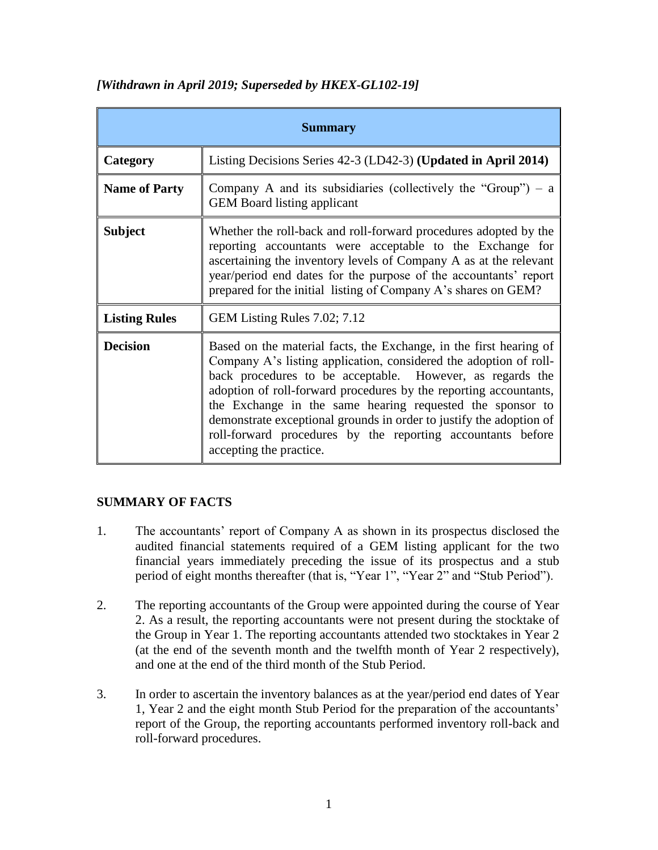| <b>Summary</b>       |                                                                                                                                                                                                                                                                                                                                                                                                                                                                                                         |
|----------------------|---------------------------------------------------------------------------------------------------------------------------------------------------------------------------------------------------------------------------------------------------------------------------------------------------------------------------------------------------------------------------------------------------------------------------------------------------------------------------------------------------------|
| Category             | Listing Decisions Series 42-3 (LD42-3) (Updated in April 2014)                                                                                                                                                                                                                                                                                                                                                                                                                                          |
| <b>Name of Party</b> | Company A and its subsidiaries (collectively the "Group") $- a$<br><b>GEM</b> Board listing applicant                                                                                                                                                                                                                                                                                                                                                                                                   |
| <b>Subject</b>       | Whether the roll-back and roll-forward procedures adopted by the<br>reporting accountants were acceptable to the Exchange for<br>ascertaining the inventory levels of Company A as at the relevant<br>year/period end dates for the purpose of the accountants' report<br>prepared for the initial listing of Company A's shares on GEM?                                                                                                                                                                |
| <b>Listing Rules</b> | GEM Listing Rules 7.02; 7.12                                                                                                                                                                                                                                                                                                                                                                                                                                                                            |
| <b>Decision</b>      | Based on the material facts, the Exchange, in the first hearing of<br>Company A's listing application, considered the adoption of roll-<br>back procedures to be acceptable. However, as regards the<br>adoption of roll-forward procedures by the reporting accountants,<br>the Exchange in the same hearing requested the sponsor to<br>demonstrate exceptional grounds in order to justify the adoption of<br>roll-forward procedures by the reporting accountants before<br>accepting the practice. |

# *[Withdrawn in April 2019; Superseded by HKEX-GL102-19]*

# **SUMMARY OF FACTS**

- 1. The accountants' report of Company A as shown in its prospectus disclosed the audited financial statements required of a GEM listing applicant for the two financial years immediately preceding the issue of its prospectus and a stub period of eight months thereafter (that is, "Year 1", "Year 2" and "Stub Period").
- 2. The reporting accountants of the Group were appointed during the course of Year 2. As a result, the reporting accountants were not present during the stocktake of the Group in Year 1. The reporting accountants attended two stocktakes in Year 2 (at the end of the seventh month and the twelfth month of Year 2 respectively), and one at the end of the third month of the Stub Period.
- 3. In order to ascertain the inventory balances as at the year/period end dates of Year 1, Year 2 and the eight month Stub Period for the preparation of the accountants' report of the Group, the reporting accountants performed inventory roll-back and roll-forward procedures.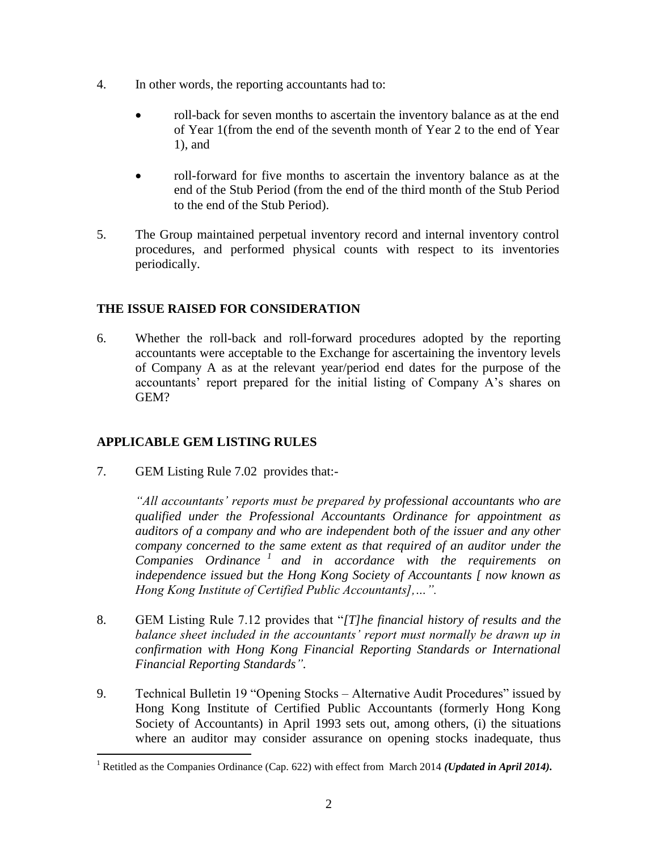- 4. In other words, the reporting accountants had to:
	- roll-back for seven months to ascertain the inventory balance as at the end of Year 1(from the end of the seventh month of Year 2 to the end of Year 1), and
	- roll-forward for five months to ascertain the inventory balance as at the end of the Stub Period (from the end of the third month of the Stub Period to the end of the Stub Period).
- 5. The Group maintained perpetual inventory record and internal inventory control procedures, and performed physical counts with respect to its inventories periodically.

# **THE ISSUE RAISED FOR CONSIDERATION**

6. Whether the roll-back and roll-forward procedures adopted by the reporting accountants were acceptable to the Exchange for ascertaining the inventory levels of Company A as at the relevant year/period end dates for the purpose of the accountants' report prepared for the initial listing of Company A's shares on GEM?

# **APPLICABLE GEM LISTING RULES**

 $\overline{a}$ 

7. GEM Listing Rule 7.02 provides that:-

*"All accountants' reports must be prepared by professional accountants who are qualified under the Professional Accountants Ordinance for appointment as auditors of a company and who are independent both of the issuer and any other company concerned to the same extent as that required of an auditor under the Companies Ordinance <sup>1</sup> and in accordance with the requirements on independence issued but the Hong Kong Society of Accountants [ now known as Hong Kong Institute of Certified Public Accountants],…".*

- 8. GEM Listing Rule 7.12 provides that "*[T]he financial history of results and the*  balance sheet included in the accountants' report must normally be drawn up in *confirmation with Hong Kong Financial Reporting Standards or International Financial Reporting Standards".*
- 9. Technical Bulletin 19 "Opening Stocks Alternative Audit Procedures" issued by Hong Kong Institute of Certified Public Accountants (formerly Hong Kong Society of Accountants) in April 1993 sets out, among others, (i) the situations where an auditor may consider assurance on opening stocks inadequate, thus

<sup>1</sup> Retitled as the Companies Ordinance (Cap. 622) with effect from March 2014 *(Updated in April 2014).*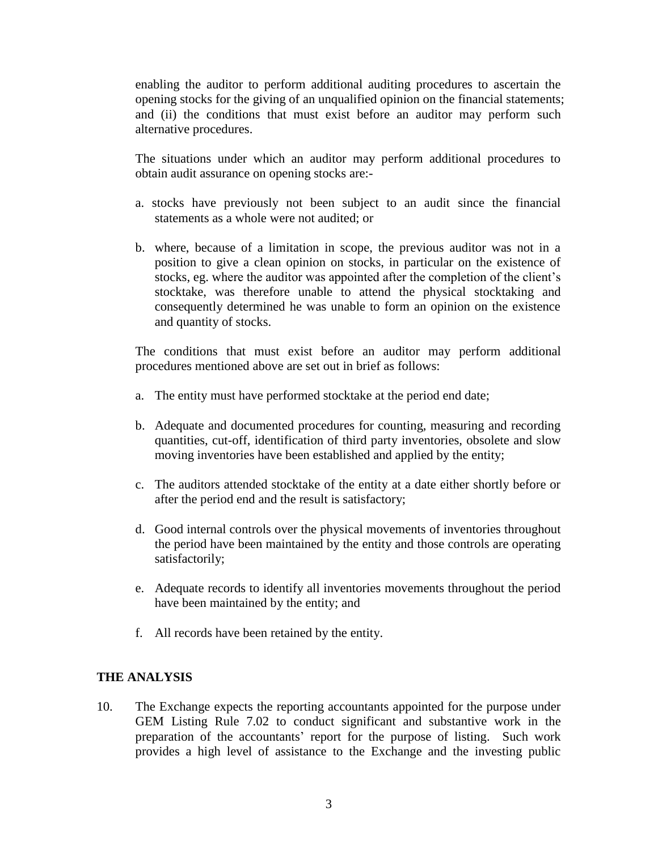enabling the auditor to perform additional auditing procedures to ascertain the opening stocks for the giving of an unqualified opinion on the financial statements; and (ii) the conditions that must exist before an auditor may perform such alternative procedures.

The situations under which an auditor may perform additional procedures to obtain audit assurance on opening stocks are:-

- a. stocks have previously not been subject to an audit since the financial statements as a whole were not audited; or
- b. where, because of a limitation in scope, the previous auditor was not in a position to give a clean opinion on stocks, in particular on the existence of stocks, eg. where the auditor was appointed after the completion of the client's stocktake, was therefore unable to attend the physical stocktaking and consequently determined he was unable to form an opinion on the existence and quantity of stocks.

 The conditions that must exist before an auditor may perform additional procedures mentioned above are set out in brief as follows:

- a. The entity must have performed stocktake at the period end date;
- b. Adequate and documented procedures for counting, measuring and recording quantities, cut-off, identification of third party inventories, obsolete and slow moving inventories have been established and applied by the entity;
- c. The auditors attended stocktake of the entity at a date either shortly before or after the period end and the result is satisfactory;
- d. Good internal controls over the physical movements of inventories throughout the period have been maintained by the entity and those controls are operating satisfactorily;
- e. Adequate records to identify all inventories movements throughout the period have been maintained by the entity; and
- f. All records have been retained by the entity.

### **THE ANALYSIS**

10. The Exchange expects the reporting accountants appointed for the purpose under GEM Listing Rule 7.02 to conduct significant and substantive work in the preparation of the accountants' report for the purpose of listing. Such work provides a high level of assistance to the Exchange and the investing public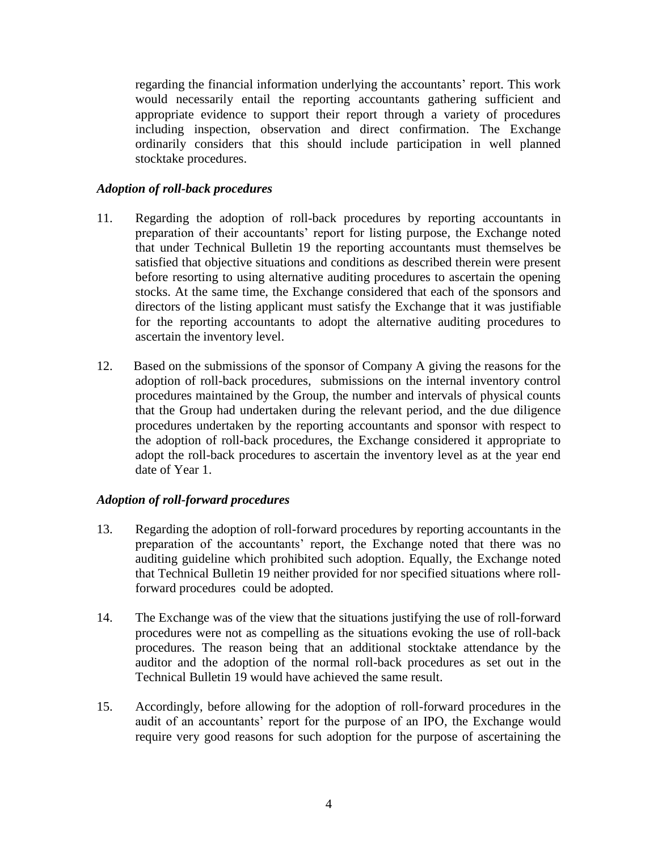regarding the financial information underlying the accountants' report. This work would necessarily entail the reporting accountants gathering sufficient and appropriate evidence to support their report through a variety of procedures including inspection, observation and direct confirmation. The Exchange ordinarily considers that this should include participation in well planned stocktake procedures.

## *Adoption of roll-back procedures*

- 11. Regarding the adoption of roll-back procedures by reporting accountants in preparation of their accountants' report for listing purpose, the Exchange noted that under Technical Bulletin 19 the reporting accountants must themselves be satisfied that objective situations and conditions as described therein were present before resorting to using alternative auditing procedures to ascertain the opening stocks. At the same time, the Exchange considered that each of the sponsors and directors of the listing applicant must satisfy the Exchange that it was justifiable for the reporting accountants to adopt the alternative auditing procedures to ascertain the inventory level.
- 12. Based on the submissions of the sponsor of Company A giving the reasons for the adoption of roll-back procedures, submissions on the internal inventory control procedures maintained by the Group, the number and intervals of physical counts that the Group had undertaken during the relevant period, and the due diligence procedures undertaken by the reporting accountants and sponsor with respect to the adoption of roll-back procedures, the Exchange considered it appropriate to adopt the roll-back procedures to ascertain the inventory level as at the year end date of Year 1.

### *Adoption of roll-forward procedures*

- 13. Regarding the adoption of roll-forward procedures by reporting accountants in the preparation of the accountants' report, the Exchange noted that there was no auditing guideline which prohibited such adoption. Equally, the Exchange noted that Technical Bulletin 19 neither provided for nor specified situations where rollforward procedures could be adopted.
- 14. The Exchange was of the view that the situations justifying the use of roll-forward procedures were not as compelling as the situations evoking the use of roll-back procedures. The reason being that an additional stocktake attendance by the auditor and the adoption of the normal roll-back procedures as set out in the Technical Bulletin 19 would have achieved the same result.
- 15. Accordingly, before allowing for the adoption of roll-forward procedures in the audit of an accountants' report for the purpose of an IPO, the Exchange would require very good reasons for such adoption for the purpose of ascertaining the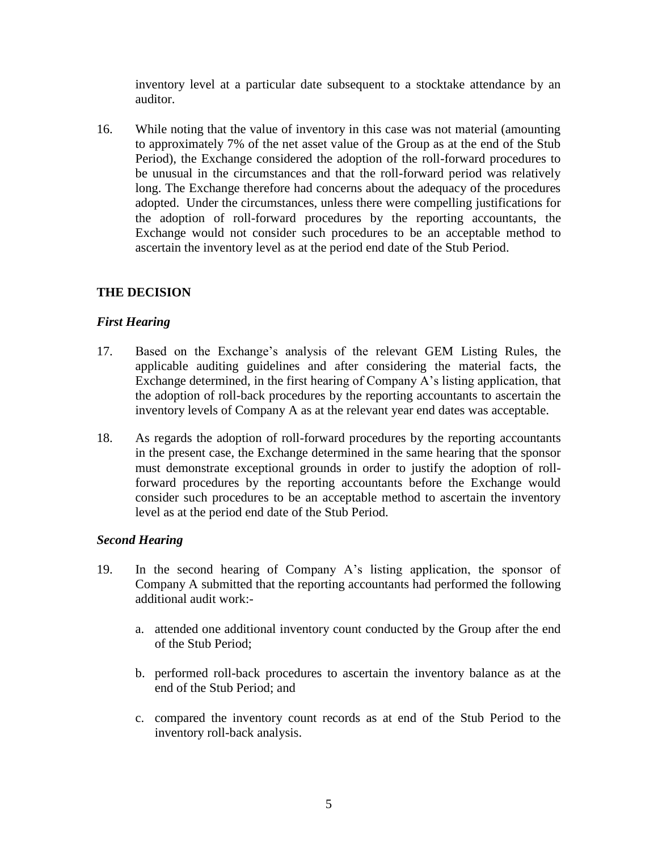inventory level at a particular date subsequent to a stocktake attendance by an auditor.

16. While noting that the value of inventory in this case was not material (amounting to approximately 7% of the net asset value of the Group as at the end of the Stub Period), the Exchange considered the adoption of the roll-forward procedures to be unusual in the circumstances and that the roll-forward period was relatively long. The Exchange therefore had concerns about the adequacy of the procedures adopted. Under the circumstances, unless there were compelling justifications for the adoption of roll-forward procedures by the reporting accountants, the Exchange would not consider such procedures to be an acceptable method to ascertain the inventory level as at the period end date of the Stub Period.

# **THE DECISION**

### *First Hearing*

- 17. Based on the Exchange's analysis of the relevant GEM Listing Rules, the applicable auditing guidelines and after considering the material facts, the Exchange determined, in the first hearing of Company A's listing application, that the adoption of roll-back procedures by the reporting accountants to ascertain the inventory levels of Company A as at the relevant year end dates was acceptable.
- 18. As regards the adoption of roll-forward procedures by the reporting accountants in the present case, the Exchange determined in the same hearing that the sponsor must demonstrate exceptional grounds in order to justify the adoption of rollforward procedures by the reporting accountants before the Exchange would consider such procedures to be an acceptable method to ascertain the inventory level as at the period end date of the Stub Period.

### *Second Hearing*

- 19. In the second hearing of Company A's listing application, the sponsor of Company A submitted that the reporting accountants had performed the following additional audit work:
	- a. attended one additional inventory count conducted by the Group after the end of the Stub Period;
	- b. performed roll-back procedures to ascertain the inventory balance as at the end of the Stub Period; and
	- c. compared the inventory count records as at end of the Stub Period to the inventory roll-back analysis.